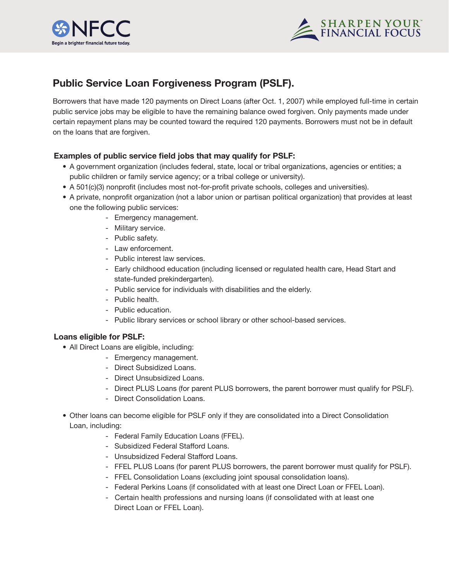



# **Public Service Loan Forgiveness Program (PSLF).**

Borrowers that have made 120 payments on Direct Loans (after Oct. 1, 2007) while employed full-time in certain public service jobs may be eligible to have the remaining balance owed forgiven. Only payments made under certain repayment plans may be counted toward the required 120 payments. Borrowers must not be in default on the loans that are forgiven.

## **Examples of public service field jobs that may qualify for PSLF:**

- A government organization (includes federal, state, local or tribal organizations, agencies or entities; a public children or family service agency; or a tribal college or university).
- • A 501(c)(3) nonprofit (includes most not-for-profit private schools, colleges and universities).
- • A private, nonprofit organization (not a labor union or partisan political organization) that provides at least one the following public services:
	- Emergency management.
	- Military service.
	- Public safety.
	- Law enforcement.
	- Public interest law services.
	- Early childhood education (including licensed or regulated health care, Head Start and state-funded prekindergarten).
	- Public service for individuals with disabilities and the elderly.
	- Public health.
	- Public education.
	- Public library services or school library or other school-based services.

## **Loans eligible for PSLF:**

- All Direct Loans are eligible, including:
	- Emergency management.
	- Direct Subsidized Loans.
	- Direct Unsubsidized Loans.
	- Direct PLUS Loans (for parent PLUS borrowers, the parent borrower must qualify for PSLF).
	- Direct Consolidation Loans.
- Other loans can become eligible for PSLF only if they are consolidated into a Direct Consolidation Loan, including:
	- Federal Family Education Loans (FFEL).
	- Subsidized Federal Stafford Loans.
	- Unsubsidized Federal Stafford Loans.
	- FFEL PLUS Loans (for parent PLUS borrowers, the parent borrower must qualify for PSLF).
	- FFEL Consolidation Loans (excluding joint spousal consolidation loans).
	- Federal Perkins Loans (if consolidated with at least one Direct Loan or FFEL Loan).
	- Certain health professions and nursing loans (if consolidated with at least one Direct Loan or FFEL Loan).